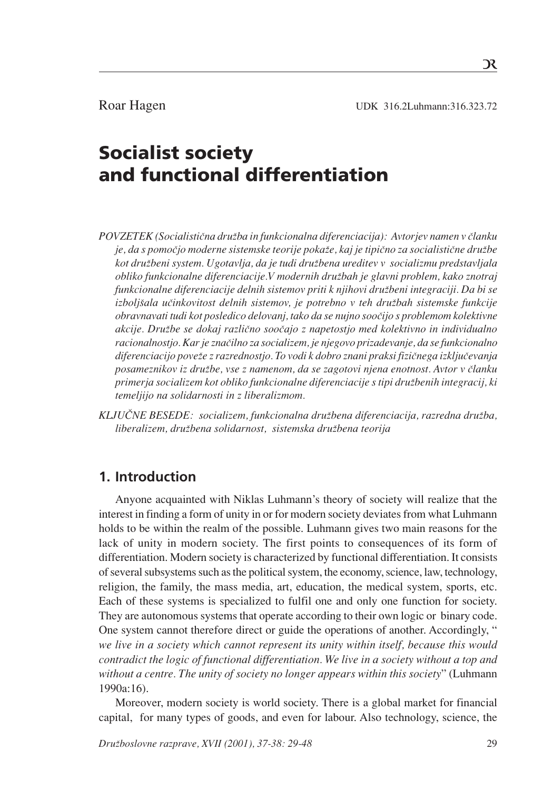# Socialist society and functional differentiation

*POVZETEK (SocialistiËna druæba in funkcionalna diferenciacija): Avtorjev namen v Ëlanku je, da s pomoËjo moderne sistemske teorije pokaæe, kaj je tipiËno za socialistiËne druæbe kot druæbeni system. Ugotavlja, da je tudi druæbena ureditev v socializmu predstavljala obliko funkcionalne diferenciacije.V modernih druæbah je glavni problem, kako znotraj funkcionalne diferenciacije delnih sistemov priti k njihovi druæbeni integraciji. Da bi se izboljšala učinkovitost delnih sistemov, je potrebno v teh družbah sistemske funkcije obravnavati tudi kot posledico delovanj, tako da se nujno sooËijo s problemom kolektivne akcije. Druæbe se dokaj razliËno sooËajo z napetostjo med kolektivno in individualno racionalnostjo. Kar je znaËilno za socializem, je njegovo prizadevanje, da se funkcionalno diferenciacijo poveæe z razrednostjo. To vodi k dobro znani praksi fiziËnega izkljuËevanja* posameznikov iz družbe, vse z namenom, da se zagotovi njena enotnost. Avtor v članku *primerja socializem kot obliko funkcionalne diferenciacije s tipi druæbenih integracij, ki temeljijo na solidarnosti in z liberalizmom.*

*KLJU»NE BESEDE: socializem, funkcionalna druæbena diferenciacija, razredna druæba, liberalizem, druæbena solidarnost, sistemska druæbena teorija*

## **1. Introduction**

 Anyone acquainted with Niklas Luhmann's theory of society will realize that the interest in finding a form of unity in or for modern society deviates from what Luhmann holds to be within the realm of the possible. Luhmann gives two main reasons for the lack of unity in modern society. The first points to consequences of its form of differentiation. Modern society is characterized by functional differentiation. It consists of several subsystems such as the political system, the economy, science, law, technology, religion, the family, the mass media, art, education, the medical system, sports, etc. Each of these systems is specialized to fulfil one and only one function for society. They are autonomous systems that operate according to their own logic or binary code. One system cannot therefore direct or guide the operations of another. Accordingly, " *we live in a society which cannot represent its unity within itself, because this would contradict the logic of functional differentiation. We live in a society without a top and without a centre. The unity of society no longer appears within this society*" (Luhmann 1990a:16).

Moreover, modern society is world society. There is a global market for financial capital, for many types of goods, and even for labour. Also technology, science, the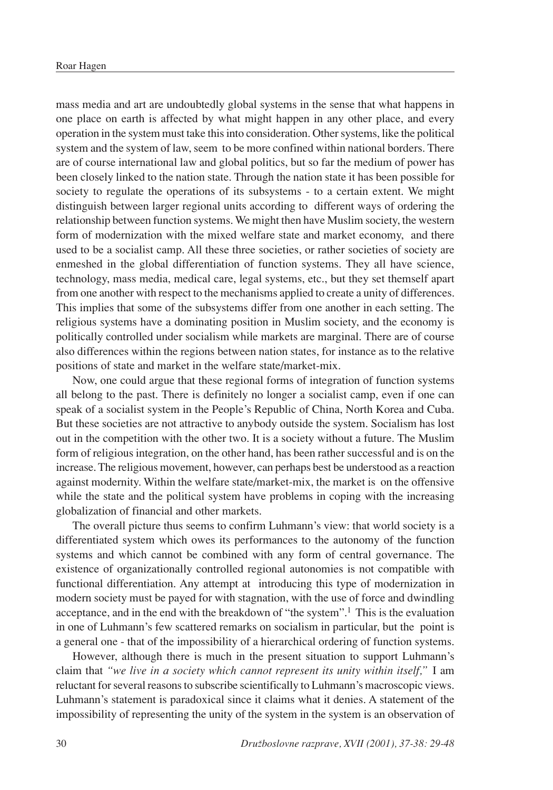mass media and art are undoubtedly global systems in the sense that what happens in one place on earth is affected by what might happen in any other place, and every operation in the system must take this into consideration. Other systems, like the political system and the system of law, seem to be more confined within national borders. There are of course international law and global politics, but so far the medium of power has been closely linked to the nation state. Through the nation state it has been possible for society to regulate the operations of its subsystems - to a certain extent. We might distinguish between larger regional units according to different ways of ordering the relationship between function systems. We might then have Muslim society, the western form of modernization with the mixed welfare state and market economy, and there used to be a socialist camp. All these three societies, or rather societies of society are enmeshed in the global differentiation of function systems. They all have science, technology, mass media, medical care, legal systems, etc., but they set themself apart from one another with respect to the mechanisms applied to create a unity of differences. This implies that some of the subsystems differ from one another in each setting. The religious systems have a dominating position in Muslim society, and the economy is politically controlled under socialism while markets are marginal. There are of course also differences within the regions between nation states, for instance as to the relative positions of state and market in the welfare state/market-mix.

Now, one could argue that these regional forms of integration of function systems all belong to the past. There is definitely no longer a socialist camp, even if one can speak of a socialist system in the People's Republic of China, North Korea and Cuba. But these societies are not attractive to anybody outside the system. Socialism has lost out in the competition with the other two. It is a society without a future. The Muslim form of religious integration, on the other hand, has been rather successful and is on the increase. The religious movement, however, can perhaps best be understood as a reaction against modernity. Within the welfare state/market-mix, the market is on the offensive while the state and the political system have problems in coping with the increasing globalization of financial and other markets.

The overall picture thus seems to confirm Luhmann's view: that world society is a differentiated system which owes its performances to the autonomy of the function systems and which cannot be combined with any form of central governance. The existence of organizationally controlled regional autonomies is not compatible with functional differentiation. Any attempt at introducing this type of modernization in modern society must be payed for with stagnation, with the use of force and dwindling acceptance, and in the end with the breakdown of "the system".1 This is the evaluation in one of Luhmann's few scattered remarks on socialism in particular, but the point is a general one - that of the impossibility of a hierarchical ordering of function systems.

However, although there is much in the present situation to support Luhmann's claim that *"we live in a society which cannot represent its unity within itself,"* I am reluctant for several reasons to subscribe scientifically to Luhmann's macroscopic views. Luhmann's statement is paradoxical since it claims what it denies. A statement of the impossibility of representing the unity of the system in the system is an observation of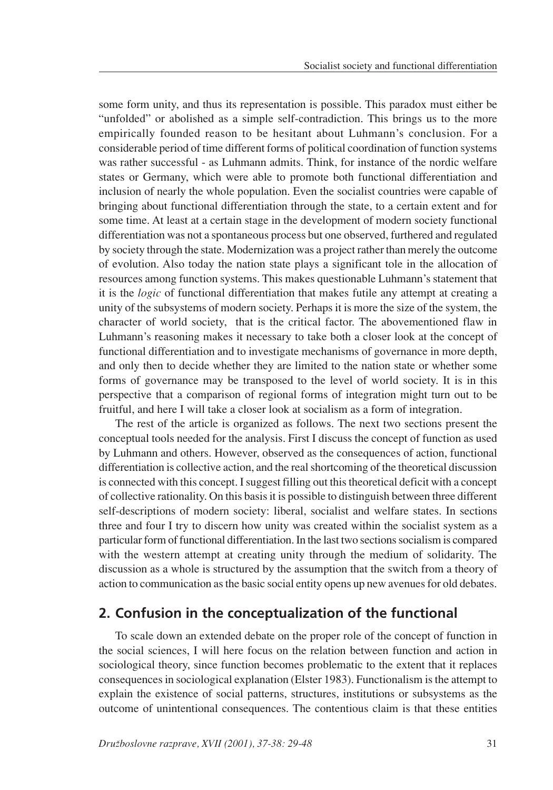some form unity, and thus its representation is possible. This paradox must either be "unfolded" or abolished as a simple self-contradiction. This brings us to the more empirically founded reason to be hesitant about Luhmann's conclusion. For a considerable period of time different forms of political coordination of function systems was rather successful - as Luhmann admits. Think, for instance of the nordic welfare states or Germany, which were able to promote both functional differentiation and inclusion of nearly the whole population. Even the socialist countries were capable of bringing about functional differentiation through the state, to a certain extent and for some time. At least at a certain stage in the development of modern society functional differentiation was not a spontaneous process but one observed, furthered and regulated by society through the state. Modernization was a project rather than merely the outcome of evolution. Also today the nation state plays a significant tole in the allocation of resources among function systems. This makes questionable Luhmann's statement that it is the *logic* of functional differentiation that makes futile any attempt at creating a unity of the subsystems of modern society. Perhaps it is more the size of the system, the character of world society, that is the critical factor. The abovementioned flaw in Luhmann's reasoning makes it necessary to take both a closer look at the concept of functional differentiation and to investigate mechanisms of governance in more depth, and only then to decide whether they are limited to the nation state or whether some forms of governance may be transposed to the level of world society. It is in this perspective that a comparison of regional forms of integration might turn out to be fruitful, and here I will take a closer look at socialism as a form of integration.

The rest of the article is organized as follows. The next two sections present the conceptual tools needed for the analysis. First I discuss the concept of function as used by Luhmann and others. However, observed as the consequences of action, functional differentiation is collective action, and the real shortcoming of the theoretical discussion is connected with this concept. I suggest filling out this theoretical deficit with a concept of collective rationality. On this basis it is possible to distinguish between three different self-descriptions of modern society: liberal, socialist and welfare states. In sections three and four I try to discern how unity was created within the socialist system as a particular form of functional differentiation. In the last two sections socialism is compared with the western attempt at creating unity through the medium of solidarity. The discussion as a whole is structured by the assumption that the switch from a theory of action to communication as the basic social entity opens up new avenues for old debates.

## **2. Confusion in the conceptualization of the functional**

To scale down an extended debate on the proper role of the concept of function in the social sciences, I will here focus on the relation between function and action in sociological theory, since function becomes problematic to the extent that it replaces consequences in sociological explanation (Elster 1983). Functionalism is the attempt to explain the existence of social patterns, structures, institutions or subsystems as the outcome of unintentional consequences. The contentious claim is that these entities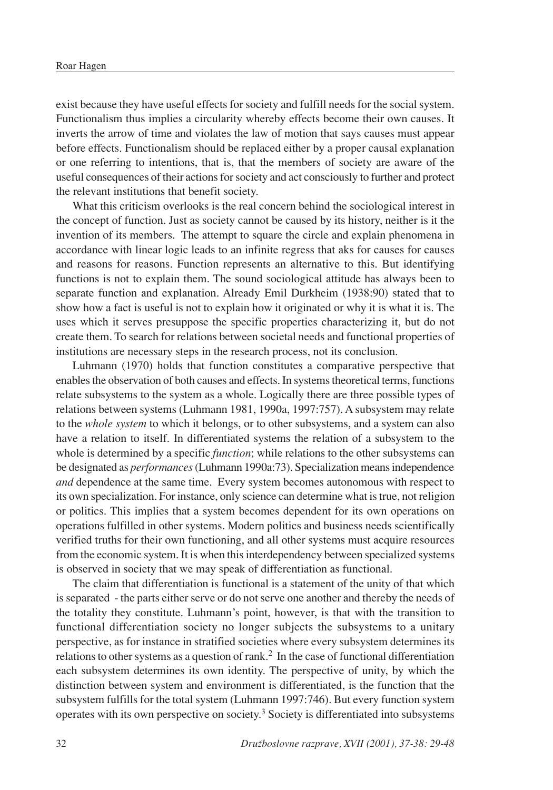exist because they have useful effects for society and fulfill needs for the social system. Functionalism thus implies a circularity whereby effects become their own causes. It inverts the arrow of time and violates the law of motion that says causes must appear before effects. Functionalism should be replaced either by a proper causal explanation or one referring to intentions, that is, that the members of society are aware of the useful consequences of their actions for society and act consciously to further and protect the relevant institutions that benefit society.

What this criticism overlooks is the real concern behind the sociological interest in the concept of function. Just as society cannot be caused by its history, neither is it the invention of its members. The attempt to square the circle and explain phenomena in accordance with linear logic leads to an infinite regress that aks for causes for causes and reasons for reasons. Function represents an alternative to this. But identifying functions is not to explain them. The sound sociological attitude has always been to separate function and explanation. Already Emil Durkheim (1938:90) stated that to show how a fact is useful is not to explain how it originated or why it is what it is. The uses which it serves presuppose the specific properties characterizing it, but do not create them. To search for relations between societal needs and functional properties of institutions are necessary steps in the research process, not its conclusion.

Luhmann (1970) holds that function constitutes a comparative perspective that enables the observation of both causes and effects. In systems theoretical terms, functions relate subsystems to the system as a whole. Logically there are three possible types of relations between systems (Luhmann 1981, 1990a, 1997:757). A subsystem may relate to the *whole system* to which it belongs, or to other subsystems, and a system can also have a relation to itself. In differentiated systems the relation of a subsystem to the whole is determined by a specific *function*; while relations to the other subsystems can be designated as *performances* (Luhmann 1990a:73). Specialization means independence *and* dependence at the same time. Every system becomes autonomous with respect to its own specialization. For instance, only science can determine what is true, not religion or politics. This implies that a system becomes dependent for its own operations on operations fulfilled in other systems. Modern politics and business needs scientifically verified truths for their own functioning, and all other systems must acquire resources from the economic system. It is when this interdependency between specialized systems is observed in society that we may speak of differentiation as functional.

The claim that differentiation is functional is a statement of the unity of that which is separated - the parts either serve or do not serve one another and thereby the needs of the totality they constitute. Luhmann's point, however, is that with the transition to functional differentiation society no longer subjects the subsystems to a unitary perspective, as for instance in stratified societies where every subsystem determines its relations to other systems as a question of rank.2 In the case of functional differentiation each subsystem determines its own identity. The perspective of unity, by which the distinction between system and environment is differentiated, is the function that the subsystem fulfills for the total system (Luhmann 1997:746). But every function system operates with its own perspective on society.3 Society is differentiated into subsystems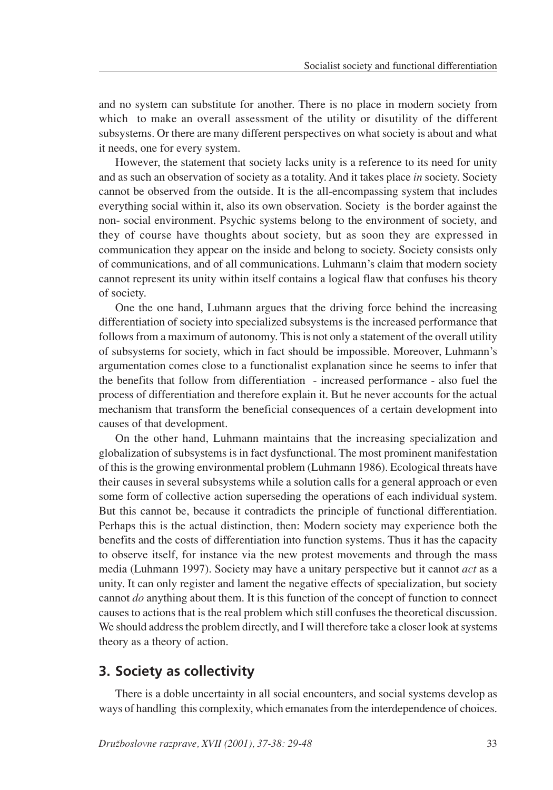and no system can substitute for another. There is no place in modern society from which to make an overall assessment of the utility or disutility of the different subsystems. Or there are many different perspectives on what society is about and what it needs, one for every system.

However, the statement that society lacks unity is a reference to its need for unity and as such an observation of society as a totality. And it takes place *in* society. Society cannot be observed from the outside. It is the all-encompassing system that includes everything social within it, also its own observation. Society is the border against the non- social environment. Psychic systems belong to the environment of society, and they of course have thoughts about society, but as soon they are expressed in communication they appear on the inside and belong to society. Society consists only of communications, and of all communications. Luhmann's claim that modern society cannot represent its unity within itself contains a logical flaw that confuses his theory of society.

One the one hand, Luhmann argues that the driving force behind the increasing differentiation of society into specialized subsystems is the increased performance that follows from a maximum of autonomy. This is not only a statement of the overall utility of subsystems for society, which in fact should be impossible. Moreover, Luhmann's argumentation comes close to a functionalist explanation since he seems to infer that the benefits that follow from differentiation - increased performance - also fuel the process of differentiation and therefore explain it. But he never accounts for the actual mechanism that transform the beneficial consequences of a certain development into causes of that development.

On the other hand, Luhmann maintains that the increasing specialization and globalization of subsystems is in fact dysfunctional. The most prominent manifestation of this is the growing environmental problem (Luhmann 1986). Ecological threats have their causes in several subsystems while a solution calls for a general approach or even some form of collective action superseding the operations of each individual system. But this cannot be, because it contradicts the principle of functional differentiation. Perhaps this is the actual distinction, then: Modern society may experience both the benefits and the costs of differentiation into function systems. Thus it has the capacity to observe itself, for instance via the new protest movements and through the mass media (Luhmann 1997). Society may have a unitary perspective but it cannot *act* as a unity. It can only register and lament the negative effects of specialization, but society cannot *do* anything about them. It is this function of the concept of function to connect causes to actions that is the real problem which still confuses the theoretical discussion. We should address the problem directly, and I will therefore take a closer look at systems theory as a theory of action.

## **3. Society as collectivity**

There is a doble uncertainty in all social encounters, and social systems develop as ways of handling this complexity, which emanates from the interdependence of choices.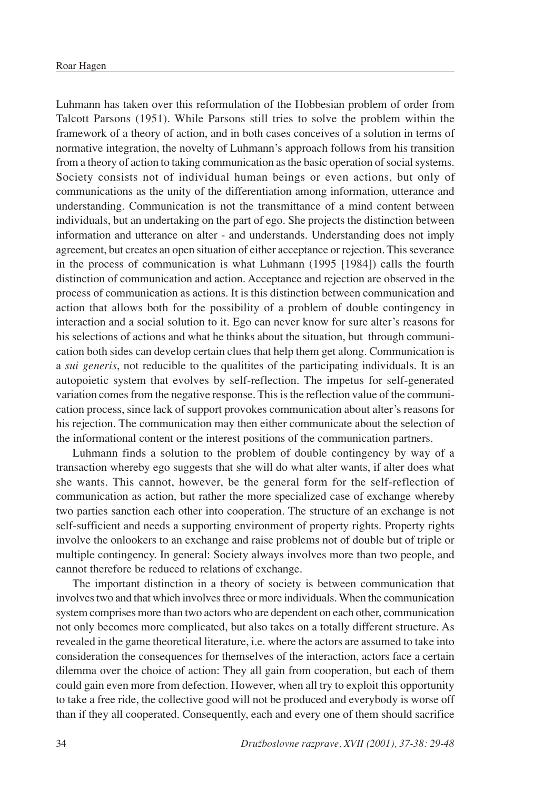Luhmann has taken over this reformulation of the Hobbesian problem of order from Talcott Parsons (1951). While Parsons still tries to solve the problem within the framework of a theory of action, and in both cases conceives of a solution in terms of normative integration, the novelty of Luhmann's approach follows from his transition from a theory of action to taking communication as the basic operation of social systems. Society consists not of individual human beings or even actions, but only of communications as the unity of the differentiation among information, utterance and understanding. Communication is not the transmittance of a mind content between individuals, but an undertaking on the part of ego. She projects the distinction between information and utterance on alter - and understands. Understanding does not imply agreement, but creates an open situation of either acceptance or rejection. This severance in the process of communication is what Luhmann (1995 [1984]) calls the fourth distinction of communication and action. Acceptance and rejection are observed in the process of communication as actions. It is this distinction between communication and action that allows both for the possibility of a problem of double contingency in interaction and a social solution to it. Ego can never know for sure alter's reasons for his selections of actions and what he thinks about the situation, but through communication both sides can develop certain clues that help them get along. Communication is a *sui generis*, not reducible to the qualitites of the participating individuals. It is an autopoietic system that evolves by self-reflection. The impetus for self-generated variation comes from the negative response. This is the reflection value of the communication process, since lack of support provokes communication about alter's reasons for his rejection. The communication may then either communicate about the selection of the informational content or the interest positions of the communication partners.

Luhmann finds a solution to the problem of double contingency by way of a transaction whereby ego suggests that she will do what alter wants, if alter does what she wants. This cannot, however, be the general form for the self-reflection of communication as action, but rather the more specialized case of exchange whereby two parties sanction each other into cooperation. The structure of an exchange is not self-sufficient and needs a supporting environment of property rights. Property rights involve the onlookers to an exchange and raise problems not of double but of triple or multiple contingency. In general: Society always involves more than two people, and cannot therefore be reduced to relations of exchange.

The important distinction in a theory of society is between communication that involves two and that which involves three or more individuals. When the communication system comprises more than two actors who are dependent on each other, communication not only becomes more complicated, but also takes on a totally different structure. As revealed in the game theoretical literature, i.e. where the actors are assumed to take into consideration the consequences for themselves of the interaction, actors face a certain dilemma over the choice of action: They all gain from cooperation, but each of them could gain even more from defection. However, when all try to exploit this opportunity to take a free ride, the collective good will not be produced and everybody is worse off than if they all cooperated. Consequently, each and every one of them should sacrifice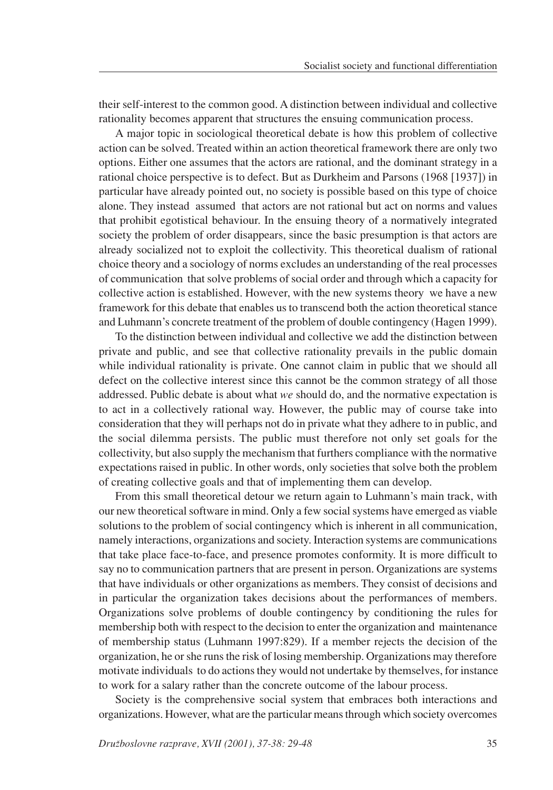their self-interest to the common good. A distinction between individual and collective rationality becomes apparent that structures the ensuing communication process.

A major topic in sociological theoretical debate is how this problem of collective action can be solved. Treated within an action theoretical framework there are only two options. Either one assumes that the actors are rational, and the dominant strategy in a rational choice perspective is to defect. But as Durkheim and Parsons (1968 [1937]) in particular have already pointed out, no society is possible based on this type of choice alone. They instead assumed that actors are not rational but act on norms and values that prohibit egotistical behaviour. In the ensuing theory of a normatively integrated society the problem of order disappears, since the basic presumption is that actors are already socialized not to exploit the collectivity. This theoretical dualism of rational choice theory and a sociology of norms excludes an understanding of the real processes of communication that solve problems of social order and through which a capacity for collective action is established. However, with the new systems theory we have a new framework for this debate that enables us to transcend both the action theoretical stance and Luhmann's concrete treatment of the problem of double contingency (Hagen 1999).

To the distinction between individual and collective we add the distinction between private and public, and see that collective rationality prevails in the public domain while individual rationality is private. One cannot claim in public that we should all defect on the collective interest since this cannot be the common strategy of all those addressed. Public debate is about what *we* should do, and the normative expectation is to act in a collectively rational way. However, the public may of course take into consideration that they will perhaps not do in private what they adhere to in public, and the social dilemma persists. The public must therefore not only set goals for the collectivity, but also supply the mechanism that furthers compliance with the normative expectations raised in public. In other words, only societies that solve both the problem of creating collective goals and that of implementing them can develop.

From this small theoretical detour we return again to Luhmann's main track, with our new theoretical software in mind. Only a few social systems have emerged as viable solutions to the problem of social contingency which is inherent in all communication, namely interactions, organizations and society. Interaction systems are communications that take place face-to-face, and presence promotes conformity. It is more difficult to say no to communication partners that are present in person. Organizations are systems that have individuals or other organizations as members. They consist of decisions and in particular the organization takes decisions about the performances of members. Organizations solve problems of double contingency by conditioning the rules for membership both with respect to the decision to enter the organization and maintenance of membership status (Luhmann 1997:829). If a member rejects the decision of the organization, he or she runs the risk of losing membership. Organizations may therefore motivate individuals to do actions they would not undertake by themselves, for instance to work for a salary rather than the concrete outcome of the labour process.

Society is the comprehensive social system that embraces both interactions and organizations. However, what are the particular means through which society overcomes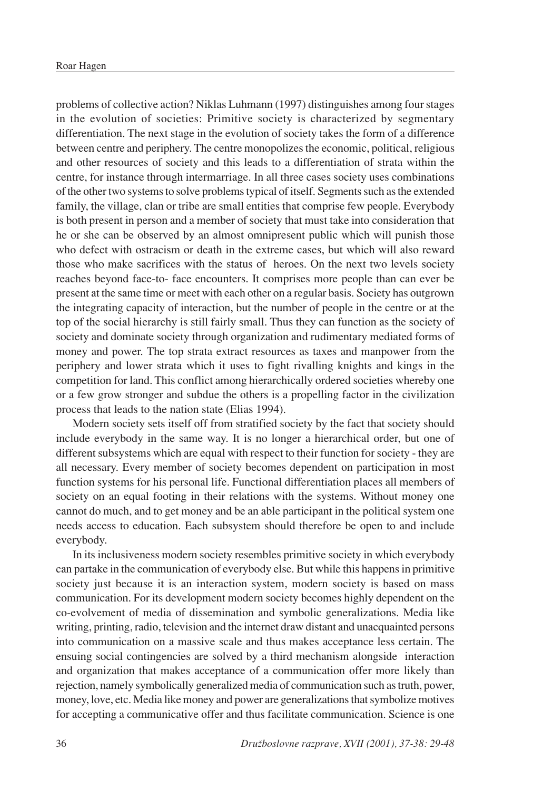problems of collective action? Niklas Luhmann (1997) distinguishes among four stages in the evolution of societies: Primitive society is characterized by segmentary differentiation. The next stage in the evolution of society takes the form of a difference between centre and periphery. The centre monopolizes the economic, political, religious and other resources of society and this leads to a differentiation of strata within the centre, for instance through intermarriage. In all three cases society uses combinations of the other two systems to solve problems typical of itself. Segments such as the extended family, the village, clan or tribe are small entities that comprise few people. Everybody is both present in person and a member of society that must take into consideration that he or she can be observed by an almost omnipresent public which will punish those who defect with ostracism or death in the extreme cases, but which will also reward those who make sacrifices with the status of heroes. On the next two levels society reaches beyond face-to- face encounters. It comprises more people than can ever be present at the same time or meet with each other on a regular basis. Society has outgrown the integrating capacity of interaction, but the number of people in the centre or at the top of the social hierarchy is still fairly small. Thus they can function as the society of society and dominate society through organization and rudimentary mediated forms of money and power. The top strata extract resources as taxes and manpower from the periphery and lower strata which it uses to fight rivalling knights and kings in the competition for land. This conflict among hierarchically ordered societies whereby one or a few grow stronger and subdue the others is a propelling factor in the civilization process that leads to the nation state (Elias 1994).

Modern society sets itself off from stratified society by the fact that society should include everybody in the same way. It is no longer a hierarchical order, but one of different subsystems which are equal with respect to their function for society - they are all necessary. Every member of society becomes dependent on participation in most function systems for his personal life. Functional differentiation places all members of society on an equal footing in their relations with the systems. Without money one cannot do much, and to get money and be an able participant in the political system one needs access to education. Each subsystem should therefore be open to and include everybody.

In its inclusiveness modern society resembles primitive society in which everybody can partake in the communication of everybody else. But while this happens in primitive society just because it is an interaction system, modern society is based on mass communication. For its development modern society becomes highly dependent on the co-evolvement of media of dissemination and symbolic generalizations. Media like writing, printing, radio, television and the internet draw distant and unacquainted persons into communication on a massive scale and thus makes acceptance less certain. The ensuing social contingencies are solved by a third mechanism alongside interaction and organization that makes acceptance of a communication offer more likely than rejection, namely symbolically generalized media of communication such as truth, power, money, love, etc. Media like money and power are generalizations that symbolize motives for accepting a communicative offer and thus facilitate communication. Science is one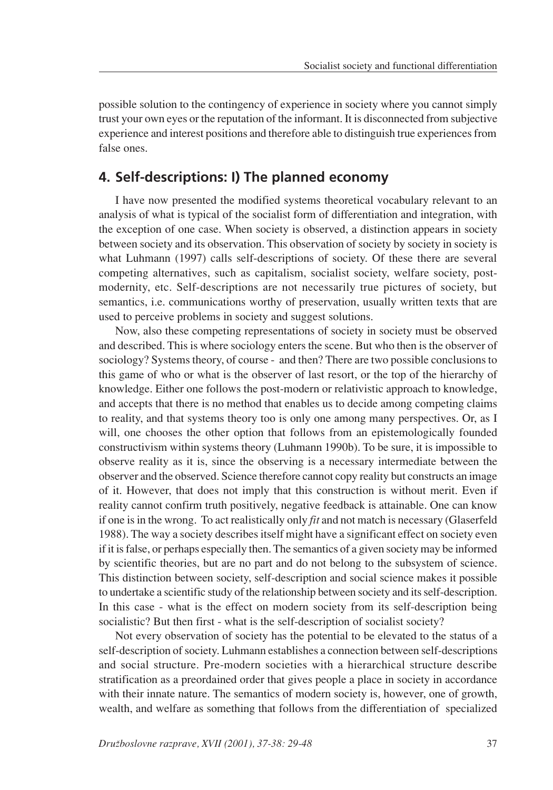possible solution to the contingency of experience in society where you cannot simply trust your own eyes or the reputation of the informant. It is disconnected from subjective experience and interest positions and therefore able to distinguish true experiences from false ones.

### **4. Self-descriptions: I) The planned economy**

I have now presented the modified systems theoretical vocabulary relevant to an analysis of what is typical of the socialist form of differentiation and integration, with the exception of one case. When society is observed, a distinction appears in society between society and its observation. This observation of society by society in society is what Luhmann (1997) calls self-descriptions of society. Of these there are several competing alternatives, such as capitalism, socialist society, welfare society, postmodernity, etc. Self-descriptions are not necessarily true pictures of society, but semantics, i.e. communications worthy of preservation, usually written texts that are used to perceive problems in society and suggest solutions.

Now, also these competing representations of society in society must be observed and described. This is where sociology enters the scene. But who then is the observer of sociology? Systems theory, of course - and then? There are two possible conclusions to this game of who or what is the observer of last resort, or the top of the hierarchy of knowledge. Either one follows the post-modern or relativistic approach to knowledge, and accepts that there is no method that enables us to decide among competing claims to reality, and that systems theory too is only one among many perspectives. Or, as I will, one chooses the other option that follows from an epistemologically founded constructivism within systems theory (Luhmann 1990b). To be sure, it is impossible to observe reality as it is, since the observing is a necessary intermediate between the observer and the observed. Science therefore cannot copy reality but constructs an image of it. However, that does not imply that this construction is without merit. Even if reality cannot confirm truth positively, negative feedback is attainable. One can know if one is in the wrong. To act realistically only *fit* and not match is necessary (Glaserfeld 1988). The way a society describes itself might have a significant effect on society even if it is false, or perhaps especially then. The semantics of a given society may be informed by scientific theories, but are no part and do not belong to the subsystem of science. This distinction between society, self-description and social science makes it possible to undertake a scientific study of the relationship between society and its self-description. In this case - what is the effect on modern society from its self-description being socialistic? But then first - what is the self-description of socialist society?

Not every observation of society has the potential to be elevated to the status of a self-description of society. Luhmann establishes a connection between self-descriptions and social structure. Pre-modern societies with a hierarchical structure describe stratification as a preordained order that gives people a place in society in accordance with their innate nature. The semantics of modern society is, however, one of growth, wealth, and welfare as something that follows from the differentiation of specialized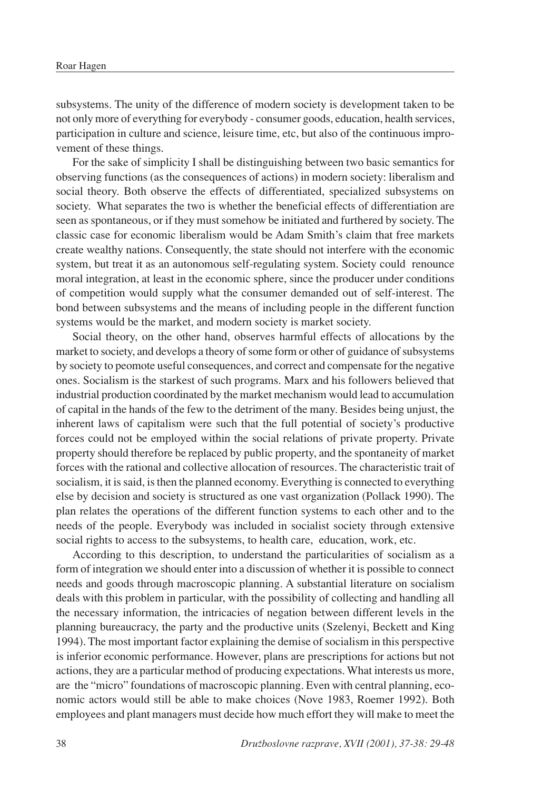subsystems. The unity of the difference of modern society is development taken to be not only more of everything for everybody - consumer goods, education, health services, participation in culture and science, leisure time, etc, but also of the continuous improvement of these things.

For the sake of simplicity I shall be distinguishing between two basic semantics for observing functions (as the consequences of actions) in modern society: liberalism and social theory. Both observe the effects of differentiated, specialized subsystems on society. What separates the two is whether the beneficial effects of differentiation are seen as spontaneous, or if they must somehow be initiated and furthered by society. The classic case for economic liberalism would be Adam Smith's claim that free markets create wealthy nations. Consequently, the state should not interfere with the economic system, but treat it as an autonomous self-regulating system. Society could renounce moral integration, at least in the economic sphere, since the producer under conditions of competition would supply what the consumer demanded out of self-interest. The bond between subsystems and the means of including people in the different function systems would be the market, and modern society is market society.

Social theory, on the other hand, observes harmful effects of allocations by the market to society, and develops a theory of some form or other of guidance of subsystems by society to peomote useful consequences, and correct and compensate for the negative ones. Socialism is the starkest of such programs. Marx and his followers believed that industrial production coordinated by the market mechanism would lead to accumulation of capital in the hands of the few to the detriment of the many. Besides being unjust, the inherent laws of capitalism were such that the full potential of society's productive forces could not be employed within the social relations of private property. Private property should therefore be replaced by public property, and the spontaneity of market forces with the rational and collective allocation of resources. The characteristic trait of socialism, it is said, is then the planned economy. Everything is connected to everything else by decision and society is structured as one vast organization (Pollack 1990). The plan relates the operations of the different function systems to each other and to the needs of the people. Everybody was included in socialist society through extensive social rights to access to the subsystems, to health care, education, work, etc.

According to this description, to understand the particularities of socialism as a form of integration we should enter into a discussion of whether it is possible to connect needs and goods through macroscopic planning. A substantial literature on socialism deals with this problem in particular, with the possibility of collecting and handling all the necessary information, the intricacies of negation between different levels in the planning bureaucracy, the party and the productive units (Szelenyi, Beckett and King 1994). The most important factor explaining the demise of socialism in this perspective is inferior economic performance. However, plans are prescriptions for actions but not actions, they are a particular method of producing expectations. What interests us more, are the "micro" foundations of macroscopic planning. Even with central planning, economic actors would still be able to make choices (Nove 1983, Roemer 1992). Both employees and plant managers must decide how much effort they will make to meet the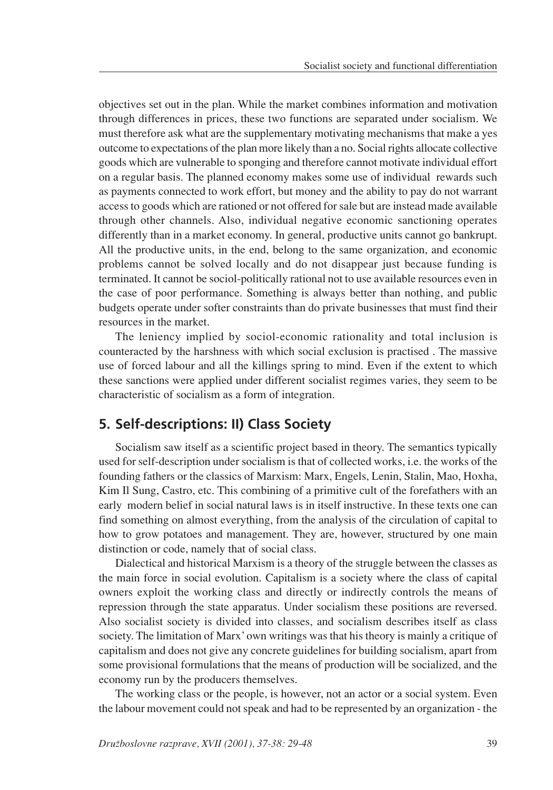objectives set out in the plan. While the market combines information and motivation through differences in prices, these two functions are separated under socialism. We must therefore ask what are the supplementary motivating mechanisms that make a yes outcome to expectations of the plan more likely than a no. Social rights allocate collective goods which are vulnerable to sponging and therefore cannot motivate individual effort on a regular basis. The planned economy makes some use of individual rewards such as payments connected to work effort, but money and the ability to pay do not warrant access to goods which are rationed or not offered for sale but are instead made available through other channels. Also, individual negative economic sanctioning operates differently than in a market economy. In general, productive units cannot go bankrupt. All the productive units, in the end, belong to the same organization, and economic problems cannot be solved locally and do not disappear just because funding is terminated. It cannot be sociol-politically rational not to use available resources even in the case of poor performance. Something is always better than nothing, and public budgets operate under softer constraints than do private businesses that must find their resources in the market.

The leniency implied by sociol-economic rationality and total inclusion is counteracted by the harshness with which social exclusion is practised . The massive use of forced labour and all the killings spring to mind. Even if the extent to which these sanctions were applied under different socialist regimes varies, they seem to be characteristic of socialism as a form of integration.

## **5. Self-descriptions: II) Class Society**

Socialism saw itself as a scientific project based in theory. The semantics typically used for self-description under socialism is that of collected works, i.e. the works of the founding fathers or the classics of Marxism: Marx, Engels, Lenin, Stalin, Mao, Hoxha, Kim Il Sung, Castro, etc. This combining of a primitive cult of the forefathers with an early modern belief in social natural laws is in itself instructive. In these texts one can find something on almost everything, from the analysis of the circulation of capital to how to grow potatoes and management. They are, however, structured by one main distinction or code, namely that of social class.

Dialectical and historical Marxism is a theory of the struggle between the classes as the main force in social evolution. Capitalism is a society where the class of capital owners exploit the working class and directly or indirectly controls the means of repression through the state apparatus. Under socialism these positions are reversed. Also socialist society is divided into classes, and socialism describes itself as class society. The limitation of Marx' own writings was that his theory is mainly a critique of capitalism and does not give any concrete guidelines for building socialism, apart from some provisional formulations that the means of production will be socialized, and the economy run by the producers themselves.

The working class or the people, is however, not an actor or a social system. Even the labour movement could not speak and had to be represented by an organization - the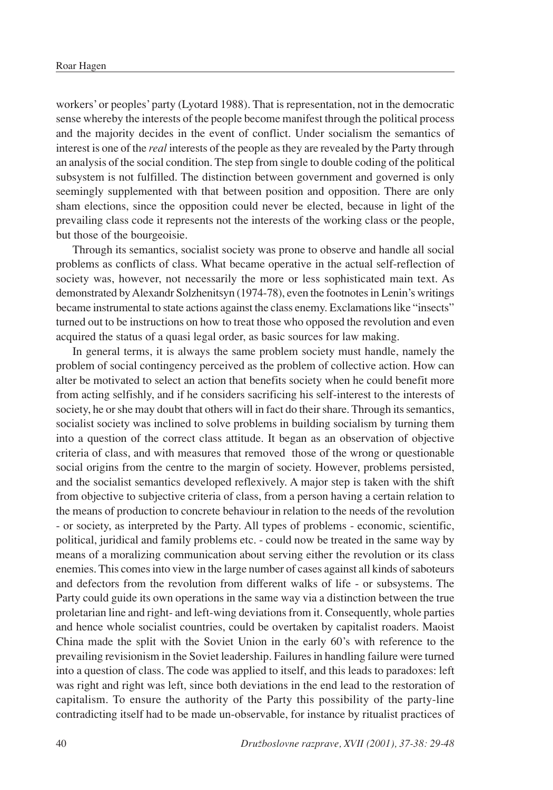workers' or peoples' party (Lyotard 1988). That is representation, not in the democratic sense whereby the interests of the people become manifest through the political process and the majority decides in the event of conflict. Under socialism the semantics of interest is one of the *real* interests of the people as they are revealed by the Party through an analysis of the social condition. The step from single to double coding of the political subsystem is not fulfilled. The distinction between government and governed is only seemingly supplemented with that between position and opposition. There are only sham elections, since the opposition could never be elected, because in light of the prevailing class code it represents not the interests of the working class or the people, but those of the bourgeoisie.

Through its semantics, socialist society was prone to observe and handle all social problems as conflicts of class. What became operative in the actual self-reflection of society was, however, not necessarily the more or less sophisticated main text. As demonstrated by Alexandr Solzhenitsyn (1974-78), even the footnotes in Lenin's writings became instrumental to state actions against the class enemy. Exclamations like "insects" turned out to be instructions on how to treat those who opposed the revolution and even acquired the status of a quasi legal order, as basic sources for law making.

In general terms, it is always the same problem society must handle, namely the problem of social contingency perceived as the problem of collective action. How can alter be motivated to select an action that benefits society when he could benefit more from acting selfishly, and if he considers sacrificing his self-interest to the interests of society, he or she may doubt that others will in fact do their share. Through its semantics, socialist society was inclined to solve problems in building socialism by turning them into a question of the correct class attitude. It began as an observation of objective criteria of class, and with measures that removed those of the wrong or questionable social origins from the centre to the margin of society. However, problems persisted, and the socialist semantics developed reflexively. A major step is taken with the shift from objective to subjective criteria of class, from a person having a certain relation to the means of production to concrete behaviour in relation to the needs of the revolution - or society, as interpreted by the Party. All types of problems - economic, scientific, political, juridical and family problems etc. - could now be treated in the same way by means of a moralizing communication about serving either the revolution or its class enemies. This comes into view in the large number of cases against all kinds of saboteurs and defectors from the revolution from different walks of life - or subsystems. The Party could guide its own operations in the same way via a distinction between the true proletarian line and right- and left-wing deviations from it. Consequently, whole parties and hence whole socialist countries, could be overtaken by capitalist roaders. Maoist China made the split with the Soviet Union in the early 60's with reference to the prevailing revisionism in the Soviet leadership. Failures in handling failure were turned into a question of class. The code was applied to itself, and this leads to paradoxes: left was right and right was left, since both deviations in the end lead to the restoration of capitalism. To ensure the authority of the Party this possibility of the party-line contradicting itself had to be made un-observable, for instance by ritualist practices of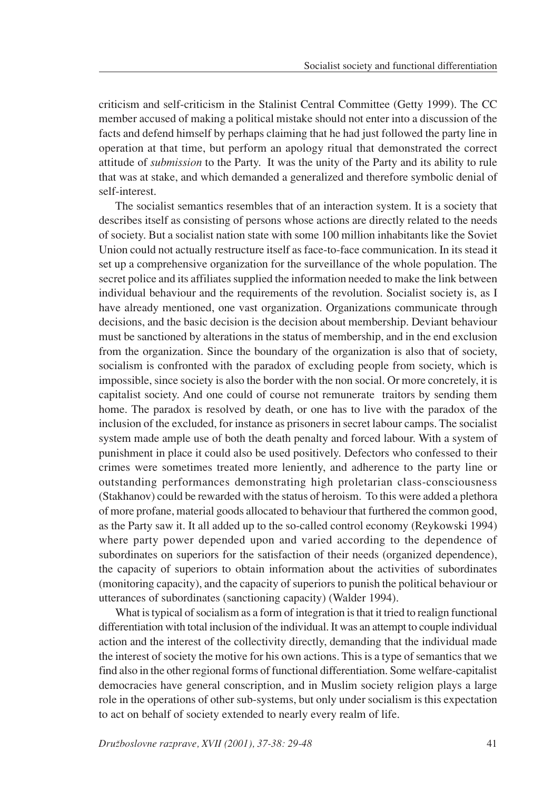criticism and self-criticism in the Stalinist Central Committee (Getty 1999). The CC member accused of making a political mistake should not enter into a discussion of the facts and defend himself by perhaps claiming that he had just followed the party line in operation at that time, but perform an apology ritual that demonstrated the correct attitude of *submission* to the Party. It was the unity of the Party and its ability to rule that was at stake, and which demanded a generalized and therefore symbolic denial of self-interest.

The socialist semantics resembles that of an interaction system. It is a society that describes itself as consisting of persons whose actions are directly related to the needs of society. But a socialist nation state with some 100 million inhabitants like the Soviet Union could not actually restructure itself as face-to-face communication. In its stead it set up a comprehensive organization for the surveillance of the whole population. The secret police and its affiliates supplied the information needed to make the link between individual behaviour and the requirements of the revolution. Socialist society is, as I have already mentioned, one vast organization. Organizations communicate through decisions, and the basic decision is the decision about membership. Deviant behaviour must be sanctioned by alterations in the status of membership, and in the end exclusion from the organization. Since the boundary of the organization is also that of society, socialism is confronted with the paradox of excluding people from society, which is impossible, since society is also the border with the non social. Or more concretely, it is capitalist society. And one could of course not remunerate traitors by sending them home. The paradox is resolved by death, or one has to live with the paradox of the inclusion of the excluded, for instance as prisoners in secret labour camps. The socialist system made ample use of both the death penalty and forced labour. With a system of punishment in place it could also be used positively. Defectors who confessed to their crimes were sometimes treated more leniently, and adherence to the party line or outstanding performances demonstrating high proletarian class-consciousness (Stakhanov) could be rewarded with the status of heroism. To this were added a plethora of more profane, material goods allocated to behaviour that furthered the common good, as the Party saw it. It all added up to the so-called control economy (Reykowski 1994) where party power depended upon and varied according to the dependence of subordinates on superiors for the satisfaction of their needs (organized dependence), the capacity of superiors to obtain information about the activities of subordinates (monitoring capacity), and the capacity of superiors to punish the political behaviour or utterances of subordinates (sanctioning capacity) (Walder 1994).

What is typical of socialism as a form of integration is that it tried to realign functional differentiation with total inclusion of the individual. It was an attempt to couple individual action and the interest of the collectivity directly, demanding that the individual made the interest of society the motive for his own actions. This is a type of semantics that we find also in the other regional forms of functional differentiation. Some welfare-capitalist democracies have general conscription, and in Muslim society religion plays a large role in the operations of other sub-systems, but only under socialism is this expectation to act on behalf of society extended to nearly every realm of life.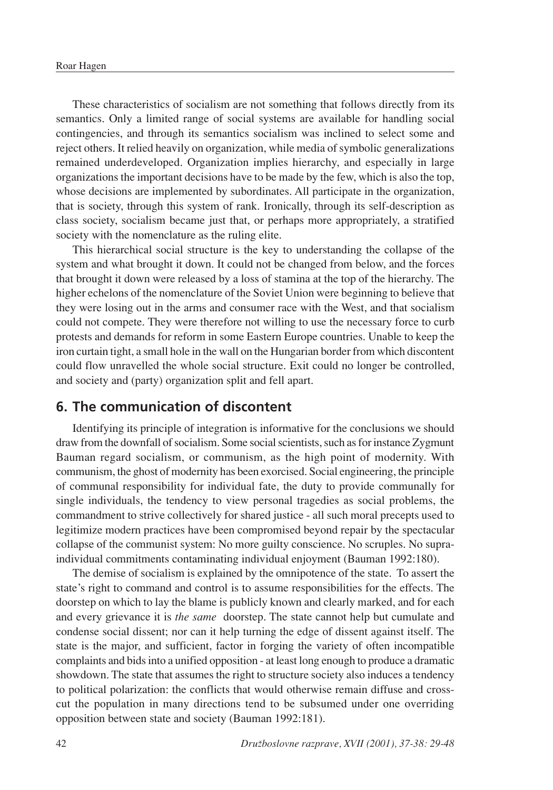These characteristics of socialism are not something that follows directly from its semantics. Only a limited range of social systems are available for handling social contingencies, and through its semantics socialism was inclined to select some and reject others. It relied heavily on organization, while media of symbolic generalizations remained underdeveloped. Organization implies hierarchy, and especially in large organizations the important decisions have to be made by the few, which is also the top, whose decisions are implemented by subordinates. All participate in the organization, that is society, through this system of rank. Ironically, through its self-description as class society, socialism became just that, or perhaps more appropriately, a stratified society with the nomenclature as the ruling elite.

This hierarchical social structure is the key to understanding the collapse of the system and what brought it down. It could not be changed from below, and the forces that brought it down were released by a loss of stamina at the top of the hierarchy. The higher echelons of the nomenclature of the Soviet Union were beginning to believe that they were losing out in the arms and consumer race with the West, and that socialism could not compete. They were therefore not willing to use the necessary force to curb protests and demands for reform in some Eastern Europe countries. Unable to keep the iron curtain tight, a small hole in the wall on the Hungarian border from which discontent could flow unravelled the whole social structure. Exit could no longer be controlled, and society and (party) organization split and fell apart.

#### **6. The communication of discontent**

Identifying its principle of integration is informative for the conclusions we should draw from the downfall of socialism. Some social scientists, such as for instance Zygmunt Bauman regard socialism, or communism, as the high point of modernity. With communism, the ghost of modernity has been exorcised. Social engineering, the principle of communal responsibility for individual fate, the duty to provide communally for single individuals, the tendency to view personal tragedies as social problems, the commandment to strive collectively for shared justice - all such moral precepts used to legitimize modern practices have been compromised beyond repair by the spectacular collapse of the communist system: No more guilty conscience. No scruples. No supraindividual commitments contaminating individual enjoyment (Bauman 1992:180).

The demise of socialism is explained by the omnipotence of the state. To assert the state's right to command and control is to assume responsibilities for the effects. The doorstep on which to lay the blame is publicly known and clearly marked, and for each and every grievance it is *the same* doorstep. The state cannot help but cumulate and condense social dissent; nor can it help turning the edge of dissent against itself. The state is the major, and sufficient, factor in forging the variety of often incompatible complaints and bids into a unified opposition - at least long enough to produce a dramatic showdown. The state that assumes the right to structure society also induces a tendency to political polarization: the conflicts that would otherwise remain diffuse and crosscut the population in many directions tend to be subsumed under one overriding opposition between state and society (Bauman 1992:181).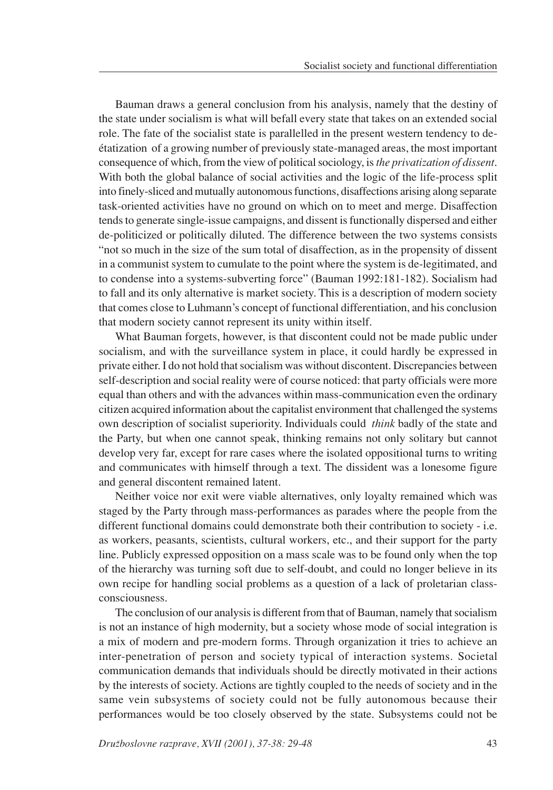Bauman draws a general conclusion from his analysis, namely that the destiny of the state under socialism is what will befall every state that takes on an extended social role. The fate of the socialist state is parallelled in the present western tendency to deétatization of a growing number of previously state-managed areas, the most important consequence of which, from the view of political sociology, is *the privatization of dissent*. With both the global balance of social activities and the logic of the life-process split into finely-sliced and mutually autonomous functions, disaffections arising along separate task-oriented activities have no ground on which on to meet and merge. Disaffection tends to generate single-issue campaigns, and dissent is functionally dispersed and either de-politicized or politically diluted. The difference between the two systems consists "not so much in the size of the sum total of disaffection, as in the propensity of dissent in a communist system to cumulate to the point where the system is de-legitimated, and to condense into a systems-subverting force" (Bauman 1992:181-182). Socialism had to fall and its only alternative is market society. This is a description of modern society that comes close to Luhmann's concept of functional differentiation, and his conclusion that modern society cannot represent its unity within itself.

What Bauman forgets, however, is that discontent could not be made public under socialism, and with the surveillance system in place, it could hardly be expressed in private either. I do not hold that socialism was without discontent. Discrepancies between self-description and social reality were of course noticed: that party officials were more equal than others and with the advances within mass-communication even the ordinary citizen acquired information about the capitalist environment that challenged the systems own description of socialist superiority. Individuals could *think* badly of the state and the Party, but when one cannot speak, thinking remains not only solitary but cannot develop very far, except for rare cases where the isolated oppositional turns to writing and communicates with himself through a text. The dissident was a lonesome figure and general discontent remained latent.

Neither voice nor exit were viable alternatives, only loyalty remained which was staged by the Party through mass-performances as parades where the people from the different functional domains could demonstrate both their contribution to society - i.e. as workers, peasants, scientists, cultural workers, etc., and their support for the party line. Publicly expressed opposition on a mass scale was to be found only when the top of the hierarchy was turning soft due to self-doubt, and could no longer believe in its own recipe for handling social problems as a question of a lack of proletarian classconsciousness.

The conclusion of our analysis is different from that of Bauman, namely that socialism is not an instance of high modernity, but a society whose mode of social integration is a mix of modern and pre-modern forms. Through organization it tries to achieve an inter-penetration of person and society typical of interaction systems. Societal communication demands that individuals should be directly motivated in their actions by the interests of society. Actions are tightly coupled to the needs of society and in the same vein subsystems of society could not be fully autonomous because their performances would be too closely observed by the state. Subsystems could not be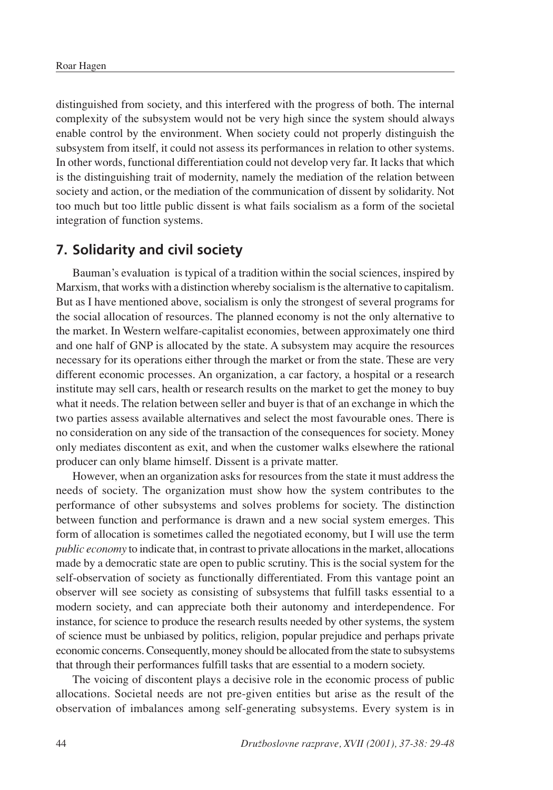distinguished from society, and this interfered with the progress of both. The internal complexity of the subsystem would not be very high since the system should always enable control by the environment. When society could not properly distinguish the subsystem from itself, it could not assess its performances in relation to other systems. In other words, functional differentiation could not develop very far. It lacks that which is the distinguishing trait of modernity, namely the mediation of the relation between society and action, or the mediation of the communication of dissent by solidarity. Not too much but too little public dissent is what fails socialism as a form of the societal integration of function systems.

#### **7. Solidarity and civil society**

Bauman's evaluation is typical of a tradition within the social sciences, inspired by Marxism, that works with a distinction whereby socialism is the alternative to capitalism. But as I have mentioned above, socialism is only the strongest of several programs for the social allocation of resources. The planned economy is not the only alternative to the market. In Western welfare-capitalist economies, between approximately one third and one half of GNP is allocated by the state. A subsystem may acquire the resources necessary for its operations either through the market or from the state. These are very different economic processes. An organization, a car factory, a hospital or a research institute may sell cars, health or research results on the market to get the money to buy what it needs. The relation between seller and buyer is that of an exchange in which the two parties assess available alternatives and select the most favourable ones. There is no consideration on any side of the transaction of the consequences for society. Money only mediates discontent as exit, and when the customer walks elsewhere the rational producer can only blame himself. Dissent is a private matter.

However, when an organization asks for resources from the state it must address the needs of society. The organization must show how the system contributes to the performance of other subsystems and solves problems for society. The distinction between function and performance is drawn and a new social system emerges. This form of allocation is sometimes called the negotiated economy, but I will use the term *public economy* to indicate that, in contrast to private allocations in the market, allocations made by a democratic state are open to public scrutiny. This is the social system for the self-observation of society as functionally differentiated. From this vantage point an observer will see society as consisting of subsystems that fulfill tasks essential to a modern society, and can appreciate both their autonomy and interdependence. For instance, for science to produce the research results needed by other systems, the system of science must be unbiased by politics, religion, popular prejudice and perhaps private economic concerns. Consequently, money should be allocated from the state to subsystems that through their performances fulfill tasks that are essential to a modern society.

The voicing of discontent plays a decisive role in the economic process of public allocations. Societal needs are not pre-given entities but arise as the result of the observation of imbalances among self-generating subsystems. Every system is in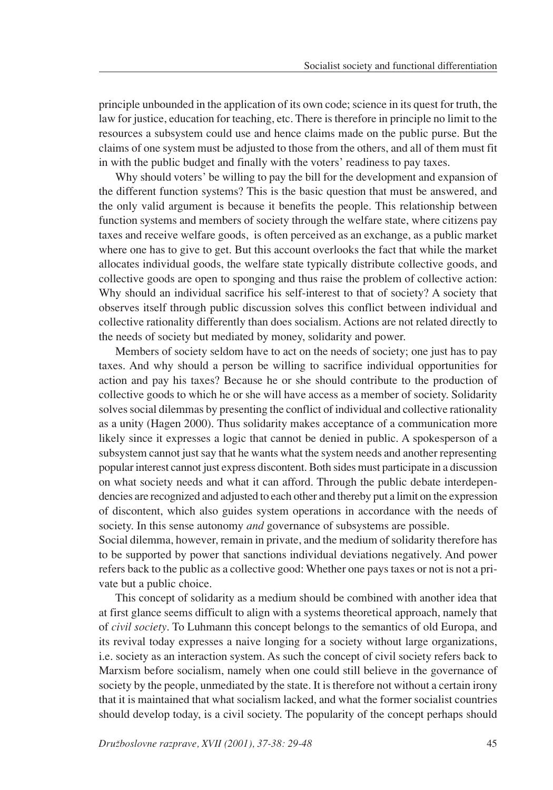principle unbounded in the application of its own code; science in its quest for truth, the law for justice, education for teaching, etc. There is therefore in principle no limit to the resources a subsystem could use and hence claims made on the public purse. But the claims of one system must be adjusted to those from the others, and all of them must fit in with the public budget and finally with the voters' readiness to pay taxes.

Why should voters' be willing to pay the bill for the development and expansion of the different function systems? This is the basic question that must be answered, and the only valid argument is because it benefits the people. This relationship between function systems and members of society through the welfare state, where citizens pay taxes and receive welfare goods, is often perceived as an exchange, as a public market where one has to give to get. But this account overlooks the fact that while the market allocates individual goods, the welfare state typically distribute collective goods, and collective goods are open to sponging and thus raise the problem of collective action: Why should an individual sacrifice his self-interest to that of society? A society that observes itself through public discussion solves this conflict between individual and collective rationality differently than does socialism. Actions are not related directly to the needs of society but mediated by money, solidarity and power.

Members of society seldom have to act on the needs of society; one just has to pay taxes. And why should a person be willing to sacrifice individual opportunities for action and pay his taxes? Because he or she should contribute to the production of collective goods to which he or she will have access as a member of society. Solidarity solves social dilemmas by presenting the conflict of individual and collective rationality as a unity (Hagen 2000). Thus solidarity makes acceptance of a communication more likely since it expresses a logic that cannot be denied in public. A spokesperson of a subsystem cannot just say that he wants what the system needs and another representing popular interest cannot just express discontent. Both sides must participate in a discussion on what society needs and what it can afford. Through the public debate interdependencies are recognized and adjusted to each other and thereby put a limit on the expression of discontent, which also guides system operations in accordance with the needs of society. In this sense autonomy *and* governance of subsystems are possible.

Social dilemma, however, remain in private, and the medium of solidarity therefore has to be supported by power that sanctions individual deviations negatively. And power refers back to the public as a collective good: Whether one pays taxes or not is not a private but a public choice.

This concept of solidarity as a medium should be combined with another idea that at first glance seems difficult to align with a systems theoretical approach, namely that of *civil society*. To Luhmann this concept belongs to the semantics of old Europa, and its revival today expresses a naive longing for a society without large organizations, i.e. society as an interaction system. As such the concept of civil society refers back to Marxism before socialism, namely when one could still believe in the governance of society by the people, unmediated by the state. It is therefore not without a certain irony that it is maintained that what socialism lacked, and what the former socialist countries should develop today, is a civil society. The popularity of the concept perhaps should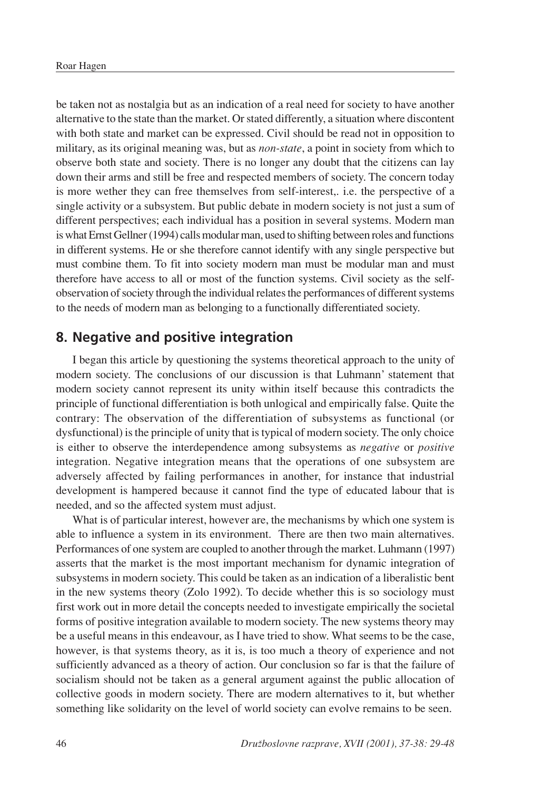be taken not as nostalgia but as an indication of a real need for society to have another alternative to the state than the market. Or stated differently, a situation where discontent with both state and market can be expressed. Civil should be read not in opposition to military, as its original meaning was, but as *non-state*, a point in society from which to observe both state and society. There is no longer any doubt that the citizens can lay down their arms and still be free and respected members of society. The concern today is more wether they can free themselves from self-interest,. i.e. the perspective of a single activity or a subsystem. But public debate in modern society is not just a sum of different perspectives; each individual has a position in several systems. Modern man is what Ernst Gellner (1994) calls modular man, used to shifting between roles and functions in different systems. He or she therefore cannot identify with any single perspective but must combine them. To fit into society modern man must be modular man and must therefore have access to all or most of the function systems. Civil society as the selfobservation of society through the individual relates the performances of different systems to the needs of modern man as belonging to a functionally differentiated society.

#### **8. Negative and positive integration**

I began this article by questioning the systems theoretical approach to the unity of modern society. The conclusions of our discussion is that Luhmann' statement that modern society cannot represent its unity within itself because this contradicts the principle of functional differentiation is both unlogical and empirically false. Quite the contrary: The observation of the differentiation of subsystems as functional (or dysfunctional) is the principle of unity that is typical of modern society. The only choice is either to observe the interdependence among subsystems as *negative* or *positive* integration. Negative integration means that the operations of one subsystem are adversely affected by failing performances in another, for instance that industrial development is hampered because it cannot find the type of educated labour that is needed, and so the affected system must adjust.

What is of particular interest, however are, the mechanisms by which one system is able to influence a system in its environment. There are then two main alternatives. Performances of one system are coupled to another through the market. Luhmann (1997) asserts that the market is the most important mechanism for dynamic integration of subsystems in modern society. This could be taken as an indication of a liberalistic bent in the new systems theory (Zolo 1992). To decide whether this is so sociology must first work out in more detail the concepts needed to investigate empirically the societal forms of positive integration available to modern society. The new systems theory may be a useful means in this endeavour, as I have tried to show. What seems to be the case, however, is that systems theory, as it is, is too much a theory of experience and not sufficiently advanced as a theory of action. Our conclusion so far is that the failure of socialism should not be taken as a general argument against the public allocation of collective goods in modern society. There are modern alternatives to it, but whether something like solidarity on the level of world society can evolve remains to be seen.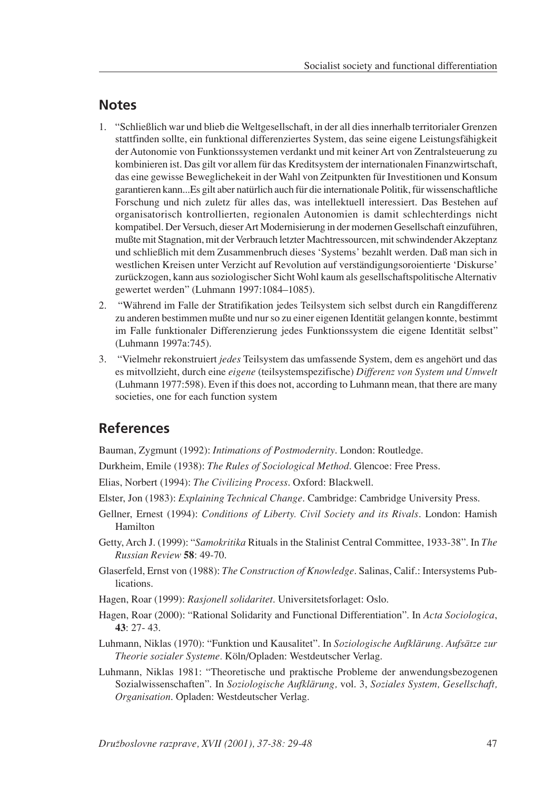#### **Notes**

- 1. "Schließlich war und blieb die Weltgesellschaft, in der all dies innerhalb territorialer Grenzen stattfinden sollte, ein funktional differenziertes System, das seine eigene Leistungsfähigkeit der Autonomie von Funktionssystemen verdankt und mit keiner Art von Zentralsteuerung zu kombinieren ist. Das gilt vor allem für das Kreditsystem der internationalen Finanzwirtschaft, das eine gewisse Beweglichekeit in der Wahl von Zeitpunkten für Investitionen und Konsum garantieren kann...Es gilt aber natürlich auch für die internationale Politik, für wissenschaftliche Forschung und nich zuletz für alles das, was intellektuell interessiert. Das Bestehen auf organisatorisch kontrollierten, regionalen Autonomien is damit schlechterdings nicht kompatibel. Der Versuch, dieser Art Modernisierung in der modernen Gesellschaft einzuführen, mußte mit Stagnation, mit der Verbrauch letzter Machtressourcen, mit schwindender Akzeptanz und schließlich mit dem Zusammenbruch dieses 'Systems' bezahlt werden. Daß man sich in westlichen Kreisen unter Verzicht auf Revolution auf verständigungsoroientierte 'Diskurse' zurückzogen, kann aus soziologischer Sicht Wohl kaum als gesellschaftspolitische Alternativ gewertet werden" (Luhmann 1997:1084-1085).
- 2. "Während im Falle der Stratifikation jedes Teilsystem sich selbst durch ein Rangdifferenz zu anderen bestimmen mußte und nur so zu einer eigenen Identität gelangen konnte, bestimmt im Falle funktionaler Differenzierung jedes Funktionssystem die eigene Identität selbst" (Luhmann 1997a:745).
- 3. "Vielmehr rekonstruiert *jedes* Teilsystem das umfassende System, dem es angehört und das es mitvollzieht, durch eine *eigene* (teilsystemspezifische) *Differenz von System und Umwelt* (Luhmann 1977:598). Even if this does not, according to Luhmann mean, that there are many societies, one for each function system

## **References**

Bauman, Zygmunt (1992): *Intimations of Postmodernity*. London: Routledge.

Durkheim, Emile (1938): *The Rules of Sociological Method*. Glencoe: Free Press.

Elias, Norbert (1994): *The Civilizing Process*. Oxford: Blackwell.

Elster, Jon (1983): *Explaining Technical Change*. Cambridge: Cambridge University Press.

- Gellner, Ernest (1994): *Conditions of Liberty. Civil Society and its Rivals*. London: Hamish Hamilton
- Getty, Arch J. (1999): "*Samokritika* Rituals in the Stalinist Central Committee, 1933-38". In *The Russian Review* **58**: 49-70.
- Glaserfeld, Ernst von (1988): *The Construction of Knowledge*. Salinas, Calif.: Intersystems Publications.
- Hagen, Roar (1999): *Rasjonell solidaritet*. Universitetsforlaget: Oslo.
- Hagen, Roar (2000): "Rational Solidarity and Functional Differentiation". In *Acta Sociologica*, **43**: 27- 43.
- Luhmann, Niklas (1970): "Funktion und Kausalitet". In *Soziologische Aufklärung. Aufsätze zur Theorie sozialer Systeme.* Köln/Opladen: Westdeutscher Verlag.
- Luhmann, Niklas 1981: "Theoretische und praktische Probleme der anwendungsbezogenen Sozialwissenschaften". In *Soziologische Aufklärung,* vol. 3, *Soziales System, Gesellschaft, Organisation*. Opladen: Westdeutscher Verlag.